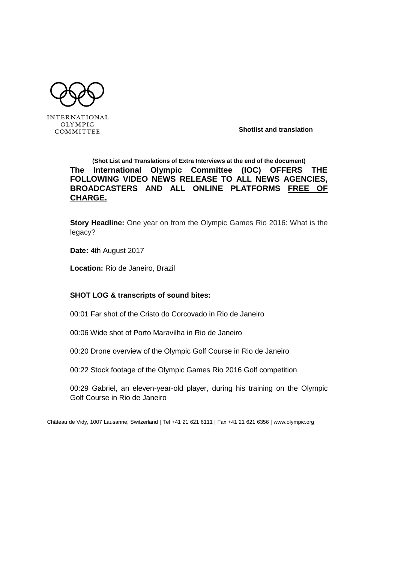

## **(Shot List and Translations of Extra Interviews at the end of the document) The International Olympic Committee (IOC) OFFERS THE FOLLOWING VIDEO NEWS RELEASE TO ALL NEWS AGENCIES, BROADCASTERS AND ALL ONLINE PLATFORMS FREE OF CHARGE.**

**Story Headline:** One year on from the Olympic Games Rio 2016: What is the legacy?

**Date:** 4th August 2017

**Location:** Rio de Janeiro, Brazil

### **SHOT LOG & transcripts of sound bites:**

00:01 Far shot of the Cristo do Corcovado in Rio de Janeiro

00:06 Wide shot of Porto Maravilha in Rio de Janeiro

00:20 Drone overview of the Olympic Golf Course in Rio de Janeiro

00:22 Stock footage of the Olympic Games Rio 2016 Golf competition

00:29 Gabriel, an eleven-year-old player, during his training on the Olympic Golf Course in Rio de Janeiro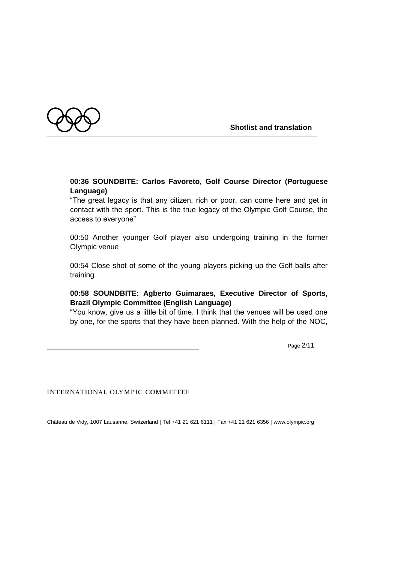

## **00:36 SOUNDBITE: Carlos Favoreto, Golf Course Director (Portuguese Language)**

"The great legacy is that any citizen, rich or poor, can come here and get in contact with the sport. This is the true legacy of the Olympic Golf Course, the access to everyone"

00:50 Another younger Golf player also undergoing training in the former Olympic venue

00:54 Close shot of some of the young players picking up the Golf balls after training

## **00:58 SOUNDBITE: Agberto Guimaraes, Executive Director of Sports, Brazil Olympic Committee (English Language)**

"You know, give us a little bit of time. I think that the venues will be used one by one, for the sports that they have been planned. With the help of the NOC,

Page 2/11

INTERNATIONAL OLYMPIC COMMITTEE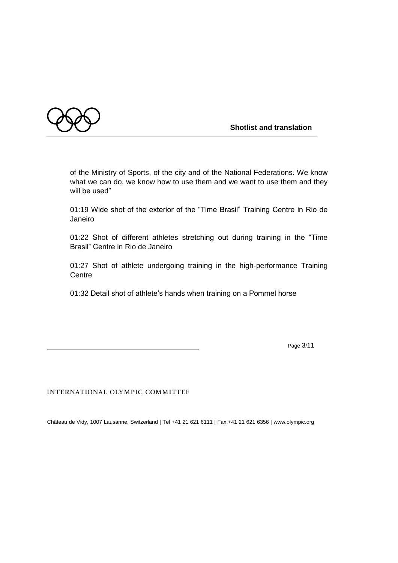

of the Ministry of Sports, of the city and of the National Federations. We know what we can do, we know how to use them and we want to use them and they will be used"

01:19 Wide shot of the exterior of the "Time Brasil" Training Centre in Rio de Janeiro

01:22 Shot of different athletes stretching out during training in the "Time Brasil" Centre in Rio de Janeiro

01:27 Shot of athlete undergoing training in the high-performance Training **Centre** 

01:32 Detail shot of athlete's hands when training on a Pommel horse

Page 3/11

INTERNATIONAL OLYMPIC COMMITTEE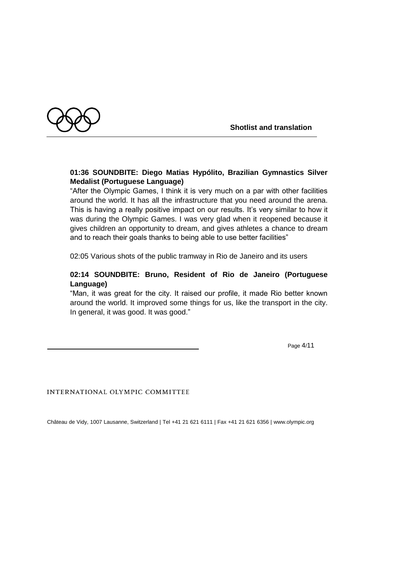



## **01:36 SOUNDBITE: Diego Matias Hypólito, Brazilian Gymnastics Silver Medalist (Portuguese Language)**

"After the Olympic Games, I think it is very much on a par with other facilities around the world. It has all the infrastructure that you need around the arena. This is having a really positive impact on our results. It's very similar to how it was during the Olympic Games. I was very glad when it reopened because it gives children an opportunity to dream, and gives athletes a chance to dream and to reach their goals thanks to being able to use better facilities"

02:05 Various shots of the public tramway in Rio de Janeiro and its users

## **02:14 SOUNDBITE: Bruno, Resident of Rio de Janeiro (Portuguese Language)**

"Man, it was great for the city. It raised our profile, it made Rio better known around the world. It improved some things for us, like the transport in the city. In general, it was good. It was good."

Page 4/11

INTERNATIONAL OLYMPIC COMMITTEE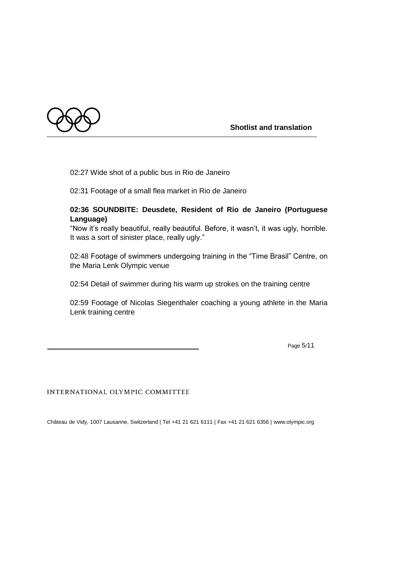

02:27 Wide shot of a public bus in Rio de Janeiro

02:31 Footage of a small flea market in Rio de Janeiro

## **02:36 SOUNDBITE: Deusdete, Resident of Rio de Janeiro (Portuguese Language)**

"Now it's really beautiful, really beautiful. Before, it wasn't, it was ugly, horrible. It was a sort of sinister place, really ugly."

02:48 Footage of swimmers undergoing training in the "Time Brasil" Centre, on the Maria Lenk Olympic venue

02:54 Detail of swimmer during his warm up strokes on the training centre

02:59 Footage of Nicolas Siegenthaler coaching a young athlete in the Maria Lenk training centre

Page 5/11

INTERNATIONAL OLYMPIC COMMITTEE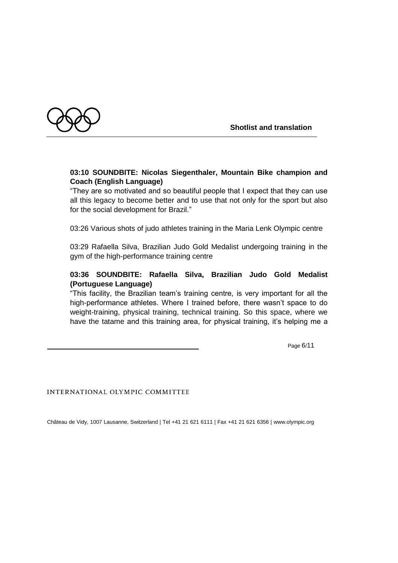

## **03:10 SOUNDBITE: Nicolas Siegenthaler, Mountain Bike champion and Coach (English Language)**

"They are so motivated and so beautiful people that I expect that they can use all this legacy to become better and to use that not only for the sport but also for the social development for Brazil."

03:26 Various shots of judo athletes training in the Maria Lenk Olympic centre

03:29 Rafaella Silva, Brazilian Judo Gold Medalist undergoing training in the gym of the high-performance training centre

## **03:36 SOUNDBITE: Rafaella Silva, Brazilian Judo Gold Medalist (Portuguese Language)**

"This facility, the Brazilian team's training centre, is very important for all the high-performance athletes. Where I trained before, there wasn't space to do weight-training, physical training, technical training. So this space, where we have the tatame and this training area, for physical training, it's helping me a

Page 6/11

INTERNATIONAL OLYMPIC COMMITTEE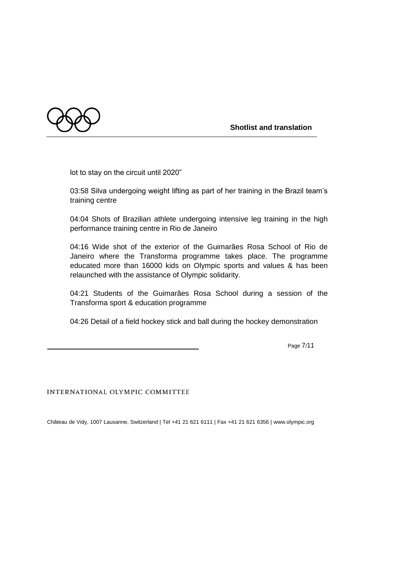

lot to stay on the circuit until 2020"

03:58 Silva undergoing weight lifting as part of her training in the Brazil team's training centre

04:04 Shots of Brazilian athlete undergoing intensive leg training in the high performance training centre in Rio de Janeiro

04:16 Wide shot of the exterior of the Guimarães Rosa School of Rio de Janeiro where the Transforma programme takes place. The programme educated more than 16000 kids on Olympic sports and values & has been relaunched with the assistance of Olympic solidarity.

04:21 Students of the Guimarães Rosa School during a session of the Transforma sport & education programme

04:26 Detail of a field hockey stick and ball during the hockey demonstration

Page 7/11

INTERNATIONAL OLYMPIC COMMITTEE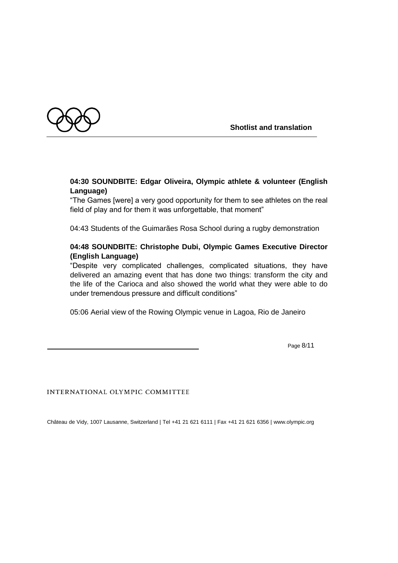

## **04:30 SOUNDBITE: Edgar Oliveira, Olympic athlete & volunteer (English Language)**

"The Games [were] a very good opportunity for them to see athletes on the real field of play and for them it was unforgettable, that moment"

04:43 Students of the Guimarães Rosa School during a rugby demonstration

## **04:48 SOUNDBITE: Christophe Dubi, Olympic Games Executive Director (English Language)**

"Despite very complicated challenges, complicated situations, they have delivered an amazing event that has done two things: transform the city and the life of the Carioca and also showed the world what they were able to do under tremendous pressure and difficult conditions"

05:06 Aerial view of the Rowing Olympic venue in Lagoa, Rio de Janeiro

Page 8/11

INTERNATIONAL OLYMPIC COMMITTEE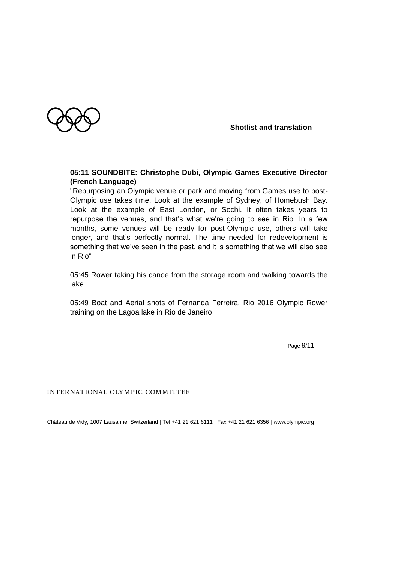

## **05:11 SOUNDBITE: Christophe Dubi, Olympic Games Executive Director (French Language)**

"Repurposing an Olympic venue or park and moving from Games use to post-Olympic use takes time. Look at the example of Sydney, of Homebush Bay. Look at the example of East London, or Sochi. It often takes years to repurpose the venues, and that's what we're going to see in Rio. In a few months, some venues will be ready for post-Olympic use, others will take longer, and that's perfectly normal. The time needed for redevelopment is something that we've seen in the past, and it is something that we will also see in Rio"

05:45 Rower taking his canoe from the storage room and walking towards the lake

05:49 Boat and Aerial shots of Fernanda Ferreira, Rio 2016 Olympic Rower training on the Lagoa lake in Rio de Janeiro

Page 9/11

INTERNATIONAL OLYMPIC COMMITTEE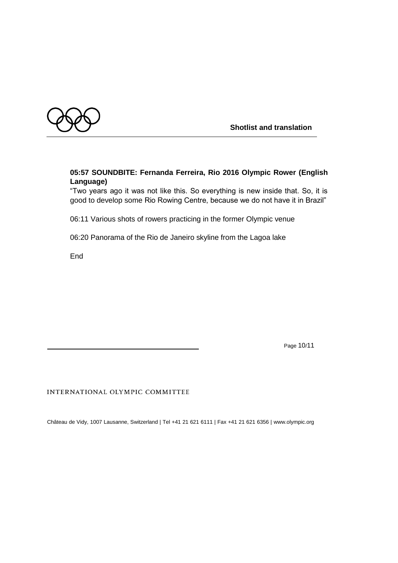

## **05:57 SOUNDBITE: Fernanda Ferreira, Rio 2016 Olympic Rower (English Language)**

"Two years ago it was not like this. So everything is new inside that. So, it is good to develop some Rio Rowing Centre, because we do not have it in Brazil"

06:11 Various shots of rowers practicing in the former Olympic venue

06:20 Panorama of the Rio de Janeiro skyline from the Lagoa lake

End

Page 10/11

INTERNATIONAL OLYMPIC COMMITTEE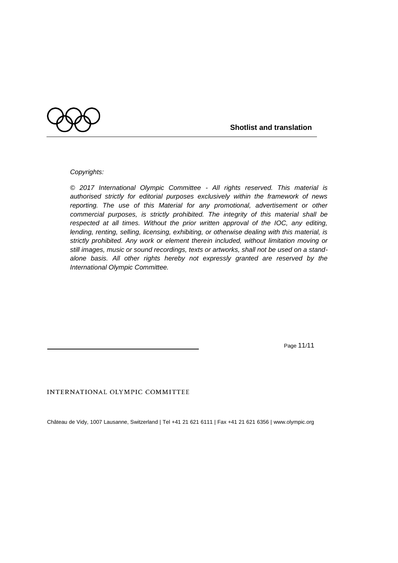

### *Copyrights:*

*© 2017 International Olympic Committee - All rights reserved. This material is authorised strictly for editorial purposes exclusively within the framework of news reporting. The use of this Material for any promotional, advertisement or other commercial purposes, is strictly prohibited. The integrity of this material shall be respected at all times. Without the prior written approval of the IOC, any editing, lending, renting, selling, licensing, exhibiting, or otherwise dealing with this material, is strictly prohibited. Any work or element therein included, without limitation moving or still images, music or sound recordings, texts or artworks, shall not be used on a standalone basis. All other rights hereby not expressly granted are reserved by the International Olympic Committee.*

Page 11/11

INTERNATIONAL OLYMPIC COMMITTEE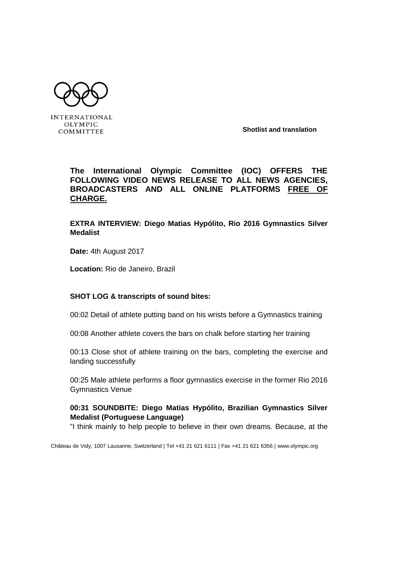**INTERNATIONAL** 

**OLYMPIC** COMMITTEE

**Shotlist and translation**

# **The International Olympic Committee (IOC) OFFERS THE FOLLOWING VIDEO NEWS RELEASE TO ALL NEWS AGENCIES, BROADCASTERS AND ALL ONLINE PLATFORMS FREE OF CHARGE.**

**EXTRA INTERVIEW: Diego Matias Hypólito, Rio 2016 Gymnastics Silver Medalist**

**Date:** 4th August 2017

**Location:** Rio de Janeiro, Brazil

### **SHOT LOG & transcripts of sound bites:**

00:02 Detail of athlete putting band on his wrists before a Gymnastics training

00:08 Another athlete covers the bars on chalk before starting her training

00:13 Close shot of athlete training on the bars, completing the exercise and landing successfully

00:25 Male athlete performs a floor gymnastics exercise in the former Rio 2016 Gymnastics Venue

### **00:31 SOUNDBITE: Diego Matias Hypólito, Brazilian Gymnastics Silver Medalist (Portuguese Language)**

"I think mainly to help people to believe in their own dreams. Because, at the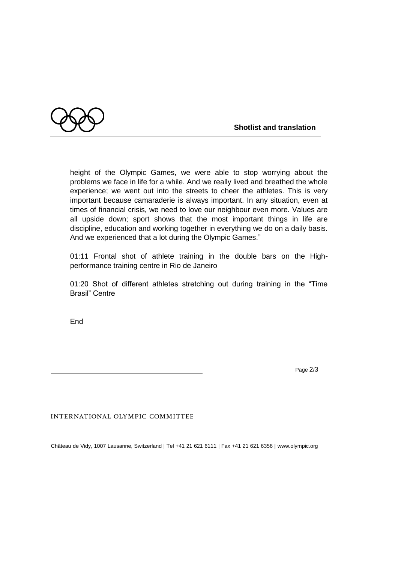

height of the Olympic Games, we were able to stop worrying about the problems we face in life for a while. And we really lived and breathed the whole experience; we went out into the streets to cheer the athletes. This is very important because camaraderie is always important. In any situation, even at times of financial crisis, we need to love our neighbour even more. Values are all upside down; sport shows that the most important things in life are discipline, education and working together in everything we do on a daily basis. And we experienced that a lot during the Olympic Games."

01:11 Frontal shot of athlete training in the double bars on the Highperformance training centre in Rio de Janeiro

01:20 Shot of different athletes stretching out during training in the "Time Brasil" Centre

**Fnd** 

Page 2/3

INTERNATIONAL OLYMPIC COMMITTEE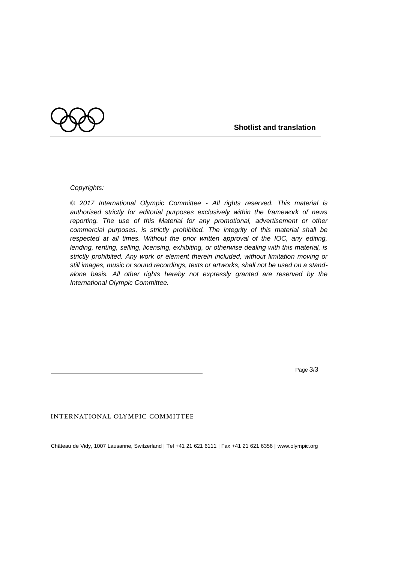

*Copyrights:*

*© 2017 International Olympic Committee - All rights reserved. This material is authorised strictly for editorial purposes exclusively within the framework of news reporting. The use of this Material for any promotional, advertisement or other commercial purposes, is strictly prohibited. The integrity of this material shall be respected at all times. Without the prior written approval of the IOC, any editing, lending, renting, selling, licensing, exhibiting, or otherwise dealing with this material, is strictly prohibited. Any work or element therein included, without limitation moving or still images, music or sound recordings, texts or artworks, shall not be used on a standalone basis. All other rights hereby not expressly granted are reserved by the International Olympic Committee.*

Page 3/3

### INTERNATIONAL OLYMPIC COMMITTEE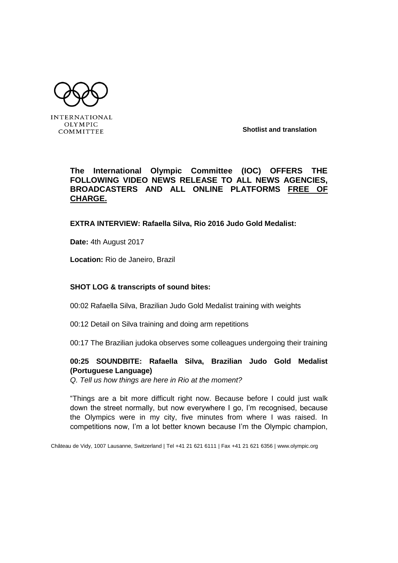**INTERNATIONAL** 

**OLYMPIC** COMMITTEE

**Shotlist and translation**

# **The International Olympic Committee (IOC) OFFERS THE FOLLOWING VIDEO NEWS RELEASE TO ALL NEWS AGENCIES, BROADCASTERS AND ALL ONLINE PLATFORMS FREE OF CHARGE.**

**EXTRA INTERVIEW: Rafaella Silva, Rio 2016 Judo Gold Medalist:** 

**Date:** 4th August 2017

**Location:** Rio de Janeiro, Brazil

### **SHOT LOG & transcripts of sound bites:**

00:02 Rafaella Silva, Brazilian Judo Gold Medalist training with weights

00:12 Detail on Silva training and doing arm repetitions

00:17 The Brazilian judoka observes some colleagues undergoing their training

## **00:25 SOUNDBITE: Rafaella Silva, Brazilian Judo Gold Medalist (Portuguese Language)**

*Q. Tell us how things are here in Rio at the moment?* 

"Things are a bit more difficult right now. Because before I could just walk down the street normally, but now everywhere I go, I'm recognised, because the Olympics were in my city, five minutes from where I was raised. In competitions now, I'm a lot better known because I'm the Olympic champion,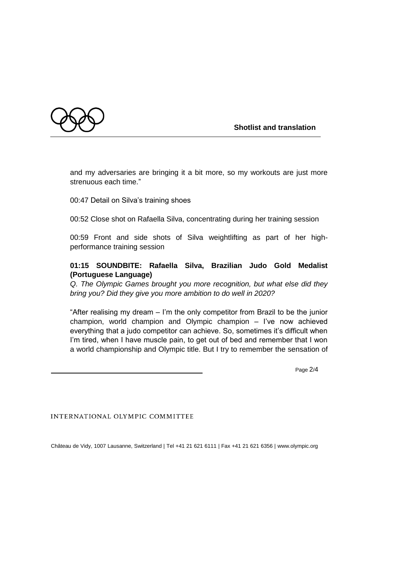

and my adversaries are bringing it a bit more, so my workouts are just more strenuous each time."

00:47 Detail on Silva's training shoes

00:52 Close shot on Rafaella Silva, concentrating during her training session

00:59 Front and side shots of Silva weightlifting as part of her highperformance training session

### **01:15 SOUNDBITE: Rafaella Silva, Brazilian Judo Gold Medalist (Portuguese Language)**

*Q. The Olympic Games brought you more recognition, but what else did they bring you? Did they give you more ambition to do well in 2020?* 

"After realising my dream – I'm the only competitor from Brazil to be the junior champion, world champion and Olympic champion – I've now achieved everything that a judo competitor can achieve. So, sometimes it's difficult when I'm tired, when I have muscle pain, to get out of bed and remember that I won a world championship and Olympic title. But I try to remember the sensation of

Page 2/4

INTERNATIONAL OLYMPIC COMMITTEE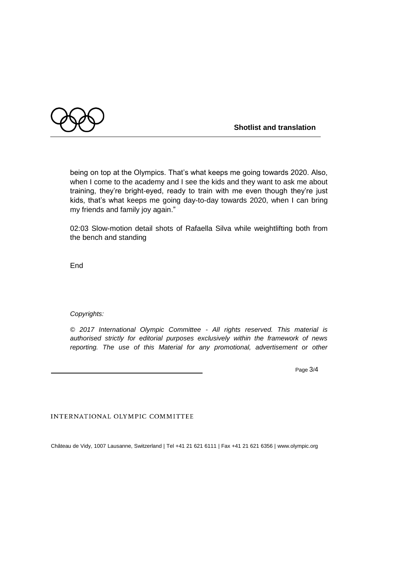

being on top at the Olympics. That's what keeps me going towards 2020. Also, when I come to the academy and I see the kids and they want to ask me about training, they're bright-eyed, ready to train with me even though they're just kids, that's what keeps me going day-to-day towards 2020, when I can bring my friends and family joy again."

02:03 Slow-motion detail shots of Rafaella Silva while weightlifting both from the bench and standing

**End** 

*Copyrights:*

*© 2017 International Olympic Committee - All rights reserved. This material is authorised strictly for editorial purposes exclusively within the framework of news reporting. The use of this Material for any promotional, advertisement or other* 

Page 3/4

### INTERNATIONAL OLYMPIC COMMITTEE